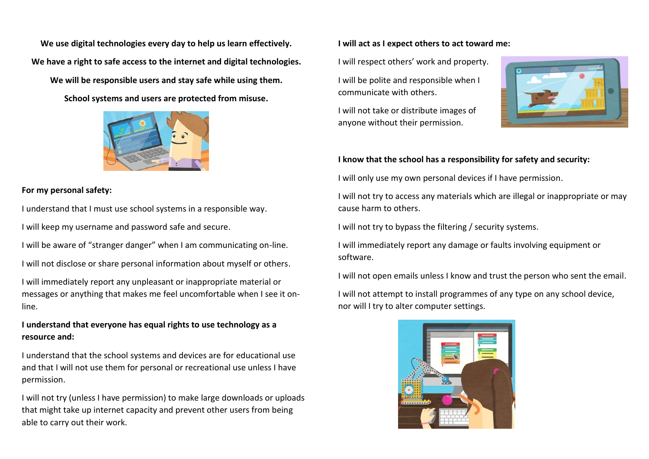**We use digital technologies every day to help us learn effectively. We have a right to safe access to the internet and digital technologies.**

**We will be responsible users and stay safe while using them.**

**School systems and users are protected from misuse.**



#### **For my personal safety:**

I understand that I must use school systems in a responsible way.

I will keep my username and password safe and secure.

I will be aware of "stranger danger" when I am communicating on-line.

I will not disclose or share personal information about myself or others.

I will immediately report any unpleasant or inappropriate material or messages or anything that makes me feel uncomfortable when I see it online.

## **I understand that everyone has equal rights to use technology as a resource and:**

I understand that the school systems and devices are for educational use and that I will not use them for personal or recreational use unless I have permission.

I will not try (unless I have permission) to make large downloads or uploads that might take up internet capacity and prevent other users from being able to carry out their work.

#### **I will act as I expect others to act toward me:**

I will respect others' work and property.

I will be polite and responsible when I communicate with others.

I will not take or distribute images of anyone without their permission.



### **I know that the school has a responsibility for safety and security:**

I will only use my own personal devices if I have permission.

I will not try to access any materials which are illegal or inappropriate or may cause harm to others.

I will not try to bypass the filtering / security systems.

I will immediately report any damage or faults involving equipment or software.

I will not open emails unless I know and trust the person who sent the email.

I will not attempt to install programmes of any type on any school device, nor will I try to alter computer settings.